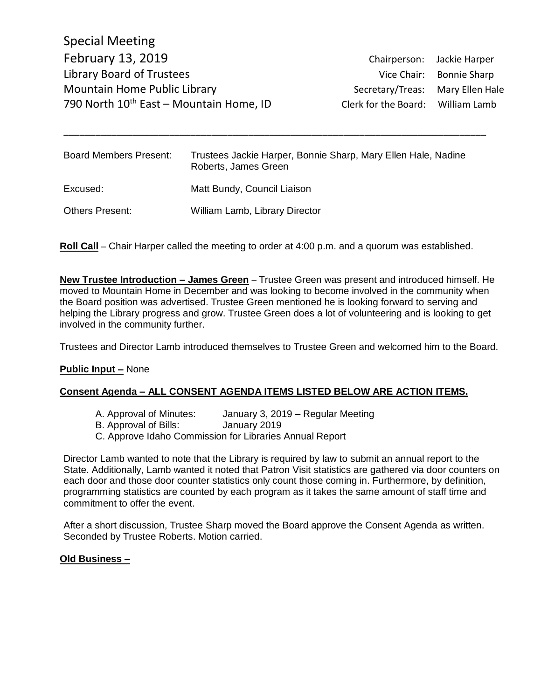Special Meeting February 13, 2019 Chairperson: Jackie Harper Library Board of Trustees Vice Chair: Bonnie Sharp Mountain Home Public Library Network Secretary/Treas: Mary Ellen Hale 790 North  $10^{th}$  East – Mountain Home, ID Clerk for the Board: William Lamb

| <b>Board Members Present:</b> | Trustees Jackie Harper, Bonnie Sharp, Mary Ellen Hale, Nadine<br>Roberts, James Green |
|-------------------------------|---------------------------------------------------------------------------------------|
| Excused:                      | Matt Bundy, Council Liaison                                                           |
| <b>Others Present:</b>        | William Lamb, Library Director                                                        |

\_\_\_\_\_\_\_\_\_\_\_\_\_\_\_\_\_\_\_\_\_\_\_\_\_\_\_\_\_\_\_\_\_\_\_\_\_\_\_\_\_\_\_\_\_\_\_\_\_\_\_\_\_\_\_\_\_\_\_\_\_\_\_\_\_\_\_\_\_\_\_\_\_\_\_\_\_\_\_\_

**Roll Call** – Chair Harper called the meeting to order at 4:00 p.m. and a quorum was established.

**New Trustee Introduction – James Green** – Trustee Green was present and introduced himself. He moved to Mountain Home in December and was looking to become involved in the community when the Board position was advertised. Trustee Green mentioned he is looking forward to serving and helping the Library progress and grow. Trustee Green does a lot of volunteering and is looking to get involved in the community further.

Trustees and Director Lamb introduced themselves to Trustee Green and welcomed him to the Board.

### **Public Input –** None

# **Consent Agenda – ALL CONSENT AGENDA ITEMS LISTED BELOW ARE ACTION ITEMS.**

- A. Approval of Minutes: January 3, 2019 Regular Meeting
- B. Approval of Bills: January 2019
- C. Approve Idaho Commission for Libraries Annual Report

Director Lamb wanted to note that the Library is required by law to submit an annual report to the State. Additionally, Lamb wanted it noted that Patron Visit statistics are gathered via door counters on each door and those door counter statistics only count those coming in. Furthermore, by definition, programming statistics are counted by each program as it takes the same amount of staff time and commitment to offer the event.

After a short discussion, Trustee Sharp moved the Board approve the Consent Agenda as written. Seconded by Trustee Roberts. Motion carried.

### **Old Business –**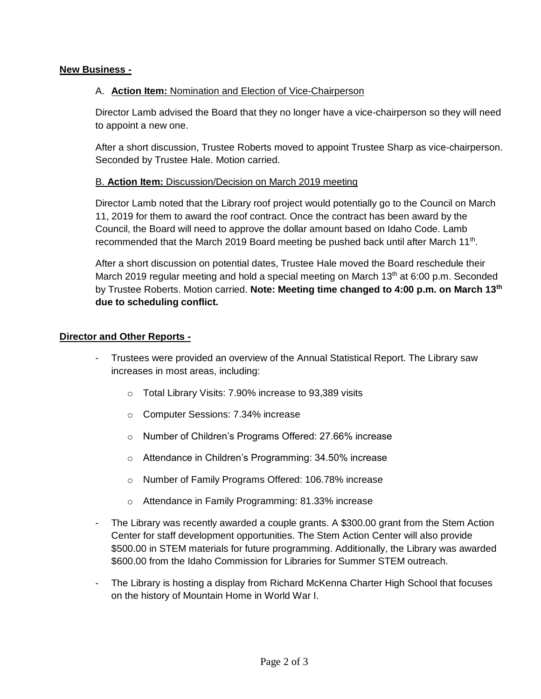# **New Business -**

# A. **Action Item:** Nomination and Election of Vice-Chairperson

Director Lamb advised the Board that they no longer have a vice-chairperson so they will need to appoint a new one.

After a short discussion, Trustee Roberts moved to appoint Trustee Sharp as vice-chairperson. Seconded by Trustee Hale. Motion carried.

# B. **Action Item:** Discussion/Decision on March 2019 meeting

Director Lamb noted that the Library roof project would potentially go to the Council on March 11, 2019 for them to award the roof contract. Once the contract has been award by the Council, the Board will need to approve the dollar amount based on Idaho Code. Lamb recommended that the March 2019 Board meeting be pushed back until after March  $11<sup>th</sup>$ .

After a short discussion on potential dates, Trustee Hale moved the Board reschedule their March 2019 regular meeting and hold a special meeting on March  $13<sup>th</sup>$  at 6:00 p.m. Seconded by Trustee Roberts. Motion carried. **Note: Meeting time changed to 4:00 p.m. on March 13th due to scheduling conflict.**

# **Director and Other Reports -**

- Trustees were provided an overview of the Annual Statistical Report. The Library saw increases in most areas, including:
	- o Total Library Visits: 7.90% increase to 93,389 visits
	- o Computer Sessions: 7.34% increase
	- o Number of Children's Programs Offered: 27.66% increase
	- o Attendance in Children's Programming: 34.50% increase
	- o Number of Family Programs Offered: 106.78% increase
	- o Attendance in Family Programming: 81.33% increase
- The Library was recently awarded a couple grants. A \$300.00 grant from the Stem Action Center for staff development opportunities. The Stem Action Center will also provide \$500.00 in STEM materials for future programming. Additionally, the Library was awarded \$600.00 from the Idaho Commission for Libraries for Summer STEM outreach.
- The Library is hosting a display from Richard McKenna Charter High School that focuses on the history of Mountain Home in World War I.